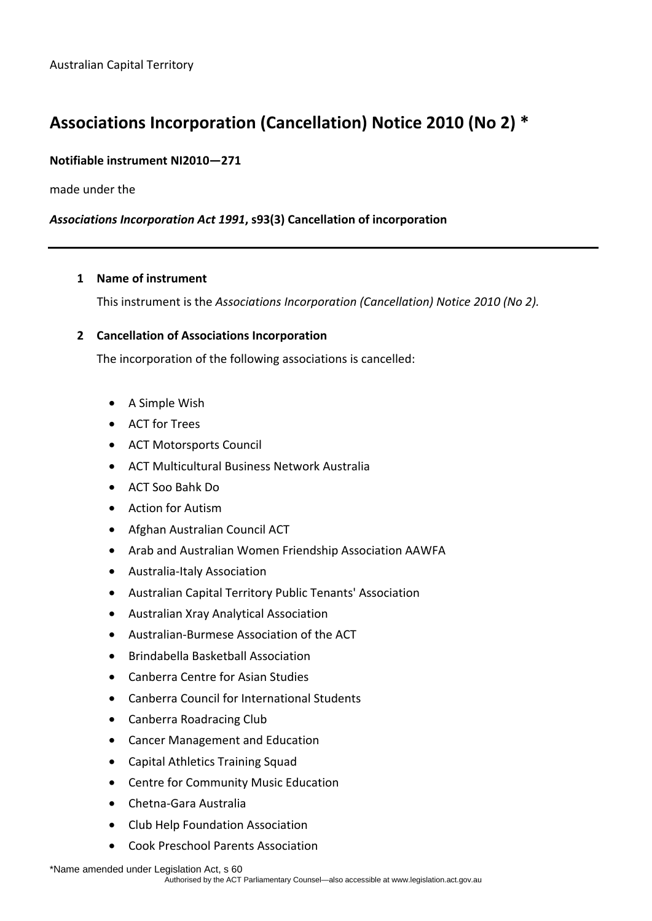# **Associations Incorporation (Cancellation) Notice 2010 (No 2) \***

## **Notifiable instrument NI2010—271**

made under the

## *Associations Incorporation Act 1991***, s93(3) Cancellation of incorporation**

#### **1 Name of instrument**

This instrument is the *Associations Incorporation (Cancellation) Notice 2010 (No 2).* 

#### **2 Cancellation of Associations Incorporation**

The incorporation of the following associations is cancelled:

- A Simple Wish
- ACT for Trees
- ACT Motorsports Council
- ACT Multicultural Business Network Australia
- ACT Soo Bahk Do
- Action for Autism
- Afghan Australian Council ACT
- Arab and Australian Women Friendship Association AAWFA
- Australia-Italy Association
- Australian Capital Territory Public Tenants' Association
- Australian Xray Analytical Association
- Australian-Burmese Association of the ACT
- Brindabella Basketball Association
- Canberra Centre for Asian Studies
- Canberra Council for International Students
- Canberra Roadracing Club
- Cancer Management and Education
- Capital Athletics Training Squad
- Centre for Community Music Education
- Chetna-Gara Australia
- Club Help Foundation Association
- Cook Preschool Parents Association